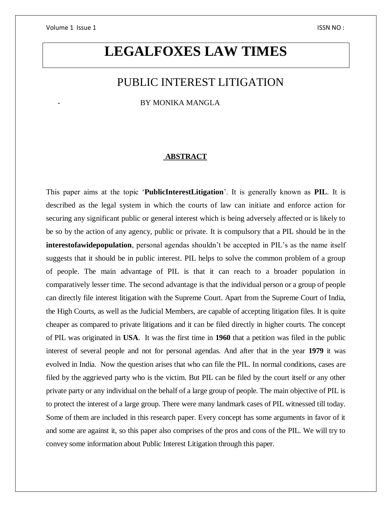# **LEGALFOXES LAW TIMES**

## PUBLIC INTEREST LITIGATION

BY MONIKA MANGLA

### **ABSTRACT**

This paper aims at the topic '**PublicInterestLitigation**'. It is generally known as **PIL**. It is described as the legal system in which the courts of law can initiate and enforce action for securing any significant public or general interest which is being adversely affected or is likely to be so by the action of any agency, public or private. It is compulsory that a PIL should be in the **interestofawidepopulation**, personal agendas shouldn't be accepted in PIL's as the name itself suggests that it should be in public interest. PIL helps to solve the common problem of a group of people. The main advantage of PIL is that it can reach to a broader population in comparatively lesser time. The second advantage is that the individual person or a group of people can directly file interest litigation with the Supreme Court. Apart from the Supreme Court of India, the High Courts, as well as the Judicial Members, are capable of accepting litigation files. It is quite cheaper as compared to private litigations and it can be filed directly in higher courts. The concept of PIL was originated in **USA**. It was the first time in **1960** that a petition was filed in the public interest of several people and not for personal agendas. And after that in the year **1979** it was evolved in India. Now the question arises that who can file the PIL. In normal conditions, cases are filed by the aggrieved party who is the victim. But PIL can be filed by the court itself or any other private party or any individual on the behalf of a large group of people. The main objective of PIL is to protect the interest of a large group. There were many landmark cases of PIL witnessed till today. Some of them are included in this research paper. Every concept has some arguments in favor of it and some are against it, so this paper also comprises of the pros and cons of the PIL. We will try to convey some information about Public Interest Litigation through this paper.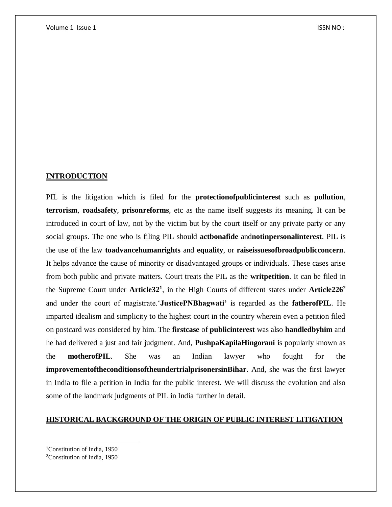## **INTRODUCTION**

PIL is the litigation which is filed for the **protectionofpublicinterest** such as **pollution**, **terrorism**, **roadsafety**, **prisonreforms**, etc as the name itself suggests its meaning. It can be introduced in court of law, not by the victim but by the court itself or any private party or any social groups. The one who is filing PIL should **actbonafide** and**notinpersonalinterest**. PIL is the use of the law **toadvancehumanrights** and **equality**, or **raiseissuesofbroadpublicconcern**. It helps advance the cause of minority or disadvantaged groups or individuals. These cases arise from both public and private matters. Court treats the PIL as the **writpetition**. It can be filed in the Supreme Court under **Article32<sup>1</sup>** , in the High Courts of different states under **Article226<sup>2</sup>** and under the court of magistrate.'**JusticePNBhagwati'** is regarded as the **fatherofPIL**. He imparted idealism and simplicity to the highest court in the country wherein even a petition filed on postcard was considered by him. The **firstcase** of **publicinterest** was also **handledbyhim** and he had delivered a just and fair judgment. And, **PushpaKapilaHingorani** is popularly known as the **motherofPIL**. She was an Indian lawyer who fought for the **improvementoftheconditionsoftheundertrialprisonersinBihar**. And, she was the first lawyer in India to file a petition in India for the public interest. We will discuss the evolution and also some of the landmark judgments of PIL in India further in detail.

## **HISTORICAL BACKGROUND OF THE ORIGIN OF PUBLIC INTEREST LITIGATION**

 $\overline{\phantom{a}}$ 

<sup>1</sup>Constitution of India, 1950

<sup>2</sup>Constitution of India, 1950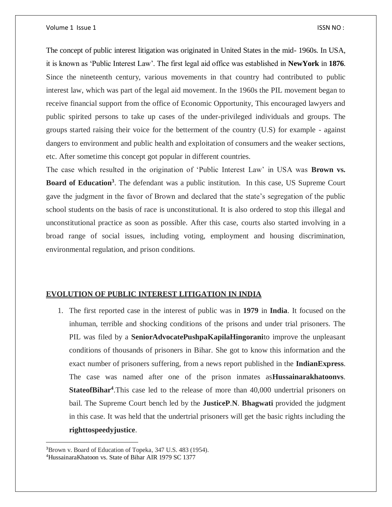The concept of public interest litigation was originated in United States in the mid- 1960s. In USA, it is known as 'Public Interest Law'. The first legal aid office was established in **NewYork** in **1876**. Since the nineteenth century, various movements in that country had contributed to public interest law, which was part of the legal aid movement. In the 1960s the PIL movement began to receive financial support from the office of Economic Opportunity, This encouraged lawyers and public spirited persons to take up cases of the under-privileged individuals and groups. The groups started raising their voice for the betterment of the country (U.S) for example - against dangers to environment and public health and exploitation of consumers and the weaker sections, etc. After sometime this concept got popular in different countries.

The case which resulted in the origination of 'Public Interest Law' in USA was **Brown vs. Board of Education<sup>3</sup>** . The defendant was a public institution. In this case, US Supreme Court gave the judgment in the favor of Brown and declared that the state's segregation of the public school students on the basis of race is unconstitutional. It is also ordered to stop this illegal and unconstitutional practice as soon as possible. After this case, courts also started involving in a broad range of social issues, including voting, employment and housing discrimination, environmental regulation, and prison conditions.

#### **EVOLUTION OF PUBLIC INTEREST LITIGATION IN INDIA**

1. The first reported case in the interest of public was in **1979** in **India**. It focused on the inhuman, terrible and shocking conditions of the prisons and under trial prisoners. The PIL was filed by a **SeniorAdvocatePushpaKapilaHingorani**to improve the unpleasant conditions of thousands of prisoners in Bihar. She got to know this information and the exact number of prisoners suffering, from a news report published in the **IndianExpress**. The case was named after one of the prison inmates as**Hussainarakhatoonvs**. **StateofBihar<sup>4</sup>**.This case led to the release of more than 40,000 undertrial prisoners on bail. The Supreme Court bench led by the **JusticeP**.**N**. **Bhagwati** provided the judgment in this case. It was held that the undertrial prisoners will get the basic rights including the **righttospeedyjustice**.

 $\overline{\phantom{a}}$ 

<sup>3</sup>Brown v. Board of Education of Topeka, 347 U.S. 483 (1954).

<sup>4</sup>HussainaraKhatoon vs. State of Bihar AIR 1979 SC 1377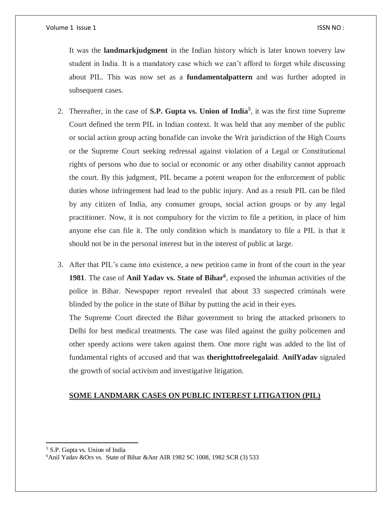It was the **landmarkjudgment** in the Indian history which is later known toevery law student in India. It is a mandatory case which we can't afford to forget while discussing about PIL. This was now set as a **fundamentalpattern** and was further adopted in subsequent cases.

- 2. Thereafter, in the case of **S.P. Gupta vs. Union of India<sup>5</sup>** , it was the first time Supreme Court defined the term PIL in Indian context. It was held that any member of the public or social action group acting bonafide can invoke the Writ jurisdiction of the High Courts or the Supreme Court seeking redressal against violation of a Legal or Constitutional rights of persons who due to social or economic or any other disability cannot approach the court. By this judgment, PIL became a potent weapon for the enforcement of public duties whose infringement had lead to the public injury. And as a result PIL can be filed by any citizen of India, any consumer groups, social action groups or by any legal practitioner. Now, it is not compulsory for the victim to file a petition, in place of him anyone else can file it. The only condition which is mandatory to file a PIL is that it should not be in the personal interest but in the interest of public at large.
- 3. After that PIL's came into existence, a new petition came in front of the court in the year **1981**. The case of **Anil Yadav vs. State of Bihar<sup>6</sup>** , exposed the inhuman activities of the police in Bihar. Newspaper report revealed that about 33 suspected criminals were blinded by the police in the state of Bihar by putting the acid in their eyes.

The Supreme Court directed the Bihar government to bring the attacked prisoners to Delhi for best medical treatments. The case was filed against the guilty policemen and other speedy actions were taken against them. One more right was added to the list of fundamental rights of accused and that was **therighttofreelegalaid**. **AnilYadav** signaled the growth of social activism and investigative litigation.

## **SOME LANDMARK CASES ON PUBLIC INTEREST LITIGATION (PIL)**

 $\overline{\phantom{a}}$ <sup>5</sup> S.P. Gupta vs. Union of India

<sup>&</sup>lt;sup>6</sup>Anil Yadav &Ors vs. State of Bihar &Anr AIR 1982 SC 1008, 1982 SCR (3) 533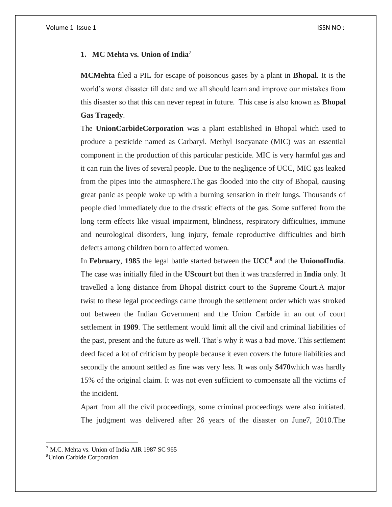### **1. MC Mehta vs. Union of India<sup>7</sup>**

**MCMehta** filed a PIL for escape of poisonous gases by a plant in **Bhopal**. It is the world's worst disaster till date and we all should learn and improve our mistakes from this disaster so that this can never repeat in future. This case is also known as **Bhopal Gas Tragedy**.

The **UnionCarbideCorporation** was a plant established in Bhopal which used to produce a pesticide named as Carbaryl. Methyl Isocyanate (MIC) was an essential component in the production of this particular pesticide. MIC is very harmful gas and it can ruin the lives of several people. Due to the negligence of UCC, MIC gas leaked from the pipes into the atmosphere.The gas flooded into the city of Bhopal, causing great panic as people woke up with a burning sensation in their lungs. Thousands of people died immediately due to the drastic effects of the gas. Some suffered from the long term effects like visual impairment, blindness, respiratory difficulties, immune and neurological disorders, lung injury, female reproductive difficulties and birth defects among children born to affected women.

In **February**, **1985** the legal battle started between the **UCC<sup>8</sup>** and the **UnionofIndia**. The case was initially filed in the **UScourt** but then it was transferred in **India** only. It travelled a long distance from Bhopal district court to the Supreme Court.A major twist to these legal proceedings came through the settlement order which was stroked out between the Indian Government and the Union Carbide in an out of court settlement in **1989**. The settlement would limit all the civil and criminal liabilities of the past, present and the future as well. That's why it was a bad move. This settlement deed faced a lot of criticism by people because it even covers the future liabilities and secondly the amount settled as fine was very less. It was only **\$470**which was hardly 15% of the original claim. It was not even sufficient to compensate all the victims of the incident.

Apart from all the civil proceedings, some criminal proceedings were also initiated. The judgment was delivered after 26 years of the disaster on June7, 2010.The

 $\overline{\phantom{a}}$ 

<sup>7</sup> M.C. Mehta vs. Union of India AIR 1987 SC 965

<sup>8</sup>Union Carbide Corporation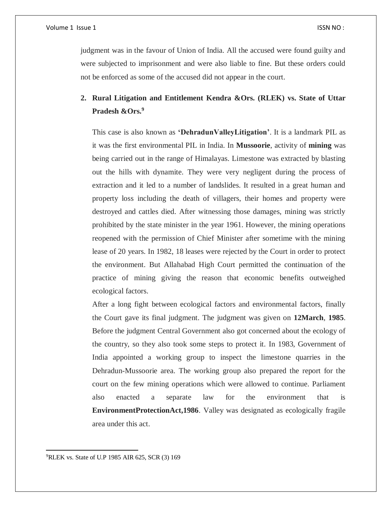#### Volume 1 Issue 1 ISSN NO : ISSN NO : ISSN NO : ISSN NO : ISSN NO : ISSN NO :

judgment was in the favour of Union of India. All the accused were found guilty and were subjected to imprisonment and were also liable to fine. But these orders could not be enforced as some of the accused did not appear in the court.

## **2. Rural Litigation and Entitlement Kendra &Ors. (RLEK) vs. State of Uttar Pradesh &Ors.<sup>9</sup>**

This case is also known as **'DehradunValleyLitigation'**. It is a landmark PIL as it was the first environmental PIL in India. In **Mussoorie**, activity of **mining** was being carried out in the range of Himalayas. Limestone was extracted by blasting out the hills with dynamite. They were very negligent during the process of extraction and it led to a number of landslides. It resulted in a great human and property loss including the death of villagers, their homes and property were destroyed and cattles died. After witnessing those damages, mining was strictly prohibited by the state minister in the year 1961. However, the mining operations reopened with the permission of Chief Minister after sometime with the mining lease of 20 years. In 1982, 18 leases were rejected by the Court in order to protect the environment. But Allahabad High Court permitted the continuation of the practice of mining giving the reason that economic benefits outweighed ecological factors.

After a long fight between ecological factors and environmental factors, finally the Court gave its final judgment. The judgment was given on **12March**, **1985**. Before the judgment Central Government also got concerned about the ecology of the country, so they also took some steps to protect it. In 1983, Government of India appointed a working group to inspect the limestone quarries in the Dehradun-Mussoorie area. The working group also prepared the report for the court on the few mining operations which were allowed to continue. Parliament also enacted a separate law for the environment that is **EnvironmentProtectionAct,1986**. Valley was designated as ecologically fragile area under this act.

9RLEK vs. State of U.P 1985 AIR 625, SCR (3) 169

 $\overline{a}$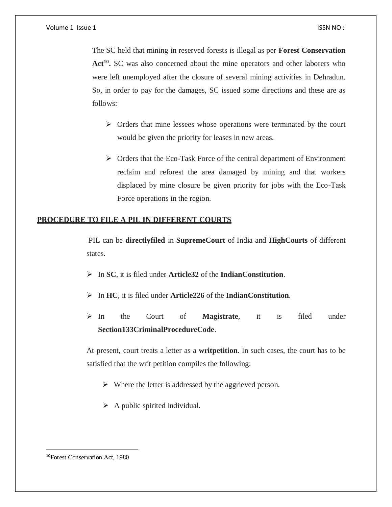The SC held that mining in reserved forests is illegal as per **Forest Conservation**  Act<sup>10</sup>. SC was also concerned about the mine operators and other laborers who were left unemployed after the closure of several mining activities in Dehradun. So, in order to pay for the damages, SC issued some directions and these are as follows:

- $\triangleright$  Orders that mine lessees whose operations were terminated by the court would be given the priority for leases in new areas.
- $\triangleright$  Orders that the Eco-Task Force of the central department of Environment reclaim and reforest the area damaged by mining and that workers displaced by mine closure be given priority for jobs with the Eco-Task Force operations in the region.

## **PROCEDURE TO FILE A PIL IN DIFFERENT COURTS**

PIL can be **directlyfiled** in **SupremeCourt** of India and **HighCourts** of different states.

- In **SC**, it is filed under **Article32** of the **IndianConstitution**.
- In **HC**, it is filed under **Article226** of the **IndianConstitution**.
- In the Court of **Magistrate**, it is filed under **Section133CriminalProcedureCode**.

At present, court treats a letter as a **writpetition**. In such cases, the court has to be satisfied that the writ petition compiles the following:

- $\triangleright$  Where the letter is addressed by the aggrieved person.
- $\triangleright$  A public spirited individual.

 $\overline{a}$ 

**<sup>10</sup>**Forest Conservation Act, 1980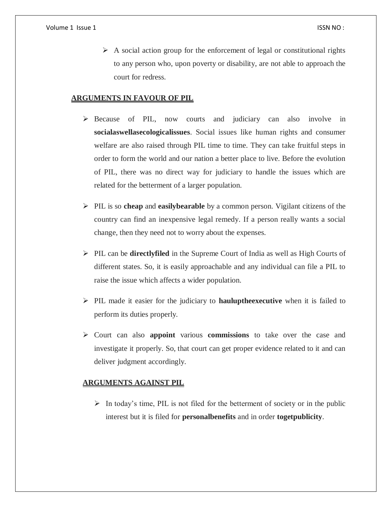$\triangleright$  A social action group for the enforcement of legal or constitutional rights to any person who, upon poverty or disability, are not able to approach the court for redress.

## **ARGUMENTS IN FAVOUR OF PIL**

- $\triangleright$  Because of PIL, now courts and judiciary can also involve in **socialaswellasecologicalissues**. Social issues like human rights and consumer welfare are also raised through PIL time to time. They can take fruitful steps in order to form the world and our nation a better place to live. Before the evolution of PIL, there was no direct way for judiciary to handle the issues which are related for the betterment of a larger population.
- $\triangleright$  PIL is so **cheap** and **easily bearable** by a common person. Vigilant citizens of the country can find an inexpensive legal remedy. If a person really wants a social change, then they need not to worry about the expenses.
- PIL can be **directlyfiled** in the Supreme Court of India as well as High Courts of different states. So, it is easily approachable and any individual can file a PIL to raise the issue which affects a wider population.
- PIL made it easier for the judiciary to **hauluptheexecutive** when it is failed to perform its duties properly.
- Court can also **appoint** various **commissions** to take over the case and investigate it properly. So, that court can get proper evidence related to it and can deliver judgment accordingly.

## **ARGUMENTS AGAINST PIL**

 $\triangleright$  In today's time, PIL is not filed for the betterment of society or in the public interest but it is filed for **personalbenefits** and in order **togetpublicity**.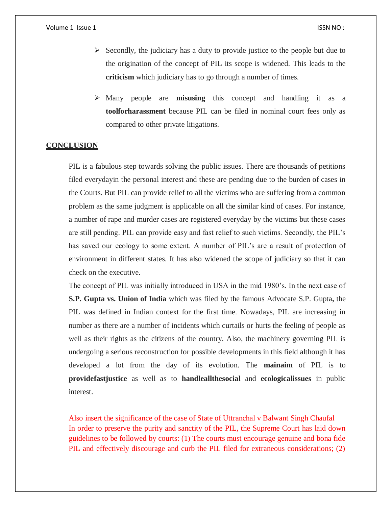#### Volume 1 Issue 1 ISSN NO : ISSN NO : ISSN NO : ISSN NO : ISSN NO :

- $\triangleright$  Secondly, the judiciary has a duty to provide justice to the people but due to the origination of the concept of PIL its scope is widened. This leads to the **criticism** which judiciary has to go through a number of times.
- Many people are **misusing** this concept and handling it as a **toolforharassment** because PIL can be filed in nominal court fees only as compared to other private litigations.

## **CONCLUSION**

PIL is a fabulous step towards solving the public issues. There are thousands of petitions filed everydayin the personal interest and these are pending due to the burden of cases in the Courts. But PIL can provide relief to all the victims who are suffering from a common problem as the same judgment is applicable on all the similar kind of cases. For instance, a number of rape and murder cases are registered everyday by the victims but these cases are still pending. PIL can provide easy and fast relief to such victims. Secondly, the PIL's has saved our ecology to some extent. A number of PIL's are a result of protection of environment in different states. It has also widened the scope of judiciary so that it can check on the executive.

The concept of PIL was initially introduced in USA in the mid 1980's. In the next case of **S.P. Gupta vs. Union of India** which was filed by the famous Advocate S.P. Gupta**,** the PIL was defined in Indian context for the first time. Nowadays, PIL are increasing in number as there are a number of incidents which curtails or hurts the feeling of people as well as their rights as the citizens of the country. Also, the machinery governing PIL is undergoing a serious reconstruction for possible developments in this field although it has developed a lot from the day of its evolution. The **mainaim** of PIL is to **providefastjustice** as well as to **handleallthesocial** and **ecologicalissues** in public interest.

Also insert the significance of the case of State of Uttranchal v Balwant Singh Chaufal In order to preserve the purity and sanctity of the PIL, the Supreme Court has laid down guidelines to be followed by courts: (1) The courts must encourage genuine and bona fide PIL and effectively discourage and curb the PIL filed for extraneous considerations; (2)